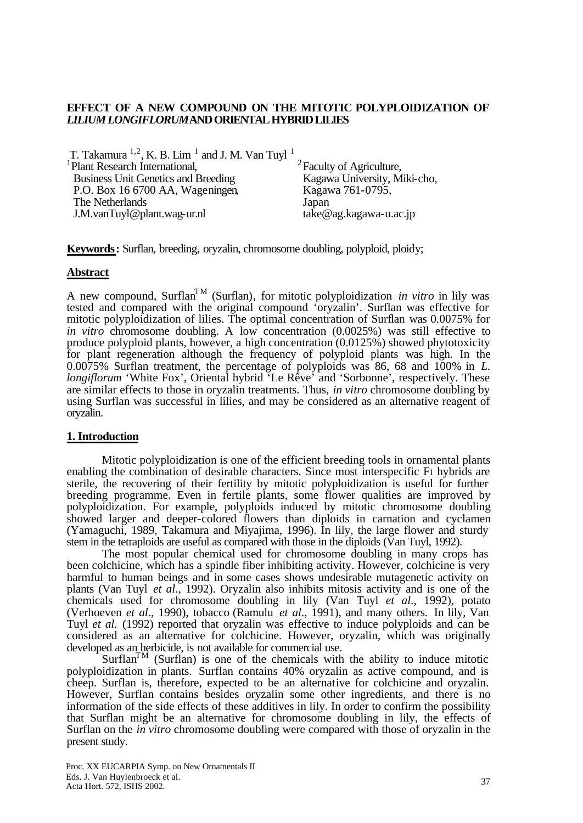# **EFFECT OF A NEW COMPOUND ON THE MITOTIC POLYPLOIDIZATION OF**  *LILIUM LONGIFLORUM* **AND ORIENTAL HYBRID LILIES**

| T. Takamura $^{1,2}$ , K. B. Lim <sup>1</sup> and J. M. Van Tuyl <sup>1</sup> |                                      |
|-------------------------------------------------------------------------------|--------------------------------------|
| <sup>1</sup> Plant Research International,                                    | <sup>2</sup> Faculty of Agriculture, |
| <b>Business Unit Genetics and Breeding</b>                                    | Kagawa University, Miki-cho,         |
| P.O. Box 16 6700 AA, Wageningen,                                              | Kagawa 761-0795,                     |
| The Netherlands                                                               | Japan                                |
| J.M.vanTuyl@plant.wag-ur.nl                                                   | $take@ag.kagawa-u.ac.jp$             |

**Keywords:** Surflan, breeding, oryzalin, chromosome doubling, polyploid, ploidy;

## **Abstract**

A new compound, Surflan<sup>TM</sup> (Surflan), for mitotic polyploidization *in vitro* in lily was tested and compared with the original compound 'oryzalin'. Surflan was effective for mitotic polyploidization of lilies. The optimal concentration of Surflan was 0.0075% for *in vitro* chromosome doubling. A low concentration (0.0025%) was still effective to produce polyploid plants, however, a high concentration (0.0125%) showed phytotoxicity for plant regeneration although the frequency of polyploid plants was high. In the 0.0075% Surflan treatment, the percentage of polyploids was 86, 68 and 100% in *L. longiflorum* 'White Fox', Oriental hybrid 'Le Rêve' and 'Sorbonne', respectively. These are similar effects to those in oryzalin treatments. Thus, *in vitro* chromosome doubling by using Surflan was successful in lilies, and may be considered as an alternative reagent of oryzalin.

# **1. Introduction**

Mitotic polyploidization is one of the efficient breeding tools in ornamental plants enabling the combination of desirable characters. Since most interspecific F1 hybrids are sterile, the recovering of their fertility by mitotic polyploidization is useful for further breeding programme. Even in fertile plants, some flower qualities are improved by polyploidization. For example, polyploids induced by mitotic chromosome doubling showed larger and deeper-colored flowers than diploids in carnation and cyclamen (Yamaguchi, 1989, Takamura and Miyajima, 1996). In lily, the large flower and sturdy stem in the tetraploids are useful as compared with those in the diploids (Van Tuyl, 1992).

The most popular chemical used for chromosome doubling in many crops has been colchicine, which has a spindle fiber inhibiting activity. However, colchicine is very harmful to human beings and in some cases shows undesirable mutagenetic activity on plants (Van Tuyl *et al*., 1992). Oryzalin also inhibits mitosis activity and is one of the chemicals used for chromosome doubling in lily (Van Tuyl *et al*., 1992), potato (Verhoeven *et al*., 1990), tobacco (Ramulu *et al*., 1991), and many others. In lily, Van Tuyl *et al*. (1992) reported that oryzalin was effective to induce polyploids and can be considered as an alternative for colchicine. However, oryzalin, which was originally developed as an herbicide, is not available for commercial use.

Surflan<sup>TM</sup> (Surflan) is one of the chemicals with the ability to induce mitotic polyploidization in plants. Surflan contains 40% oryzalin as active compound, and is cheep. Surflan is, therefore, expected to be an alternative for colchicine and oryzalin. However, Surflan contains besides oryzalin some other ingredients, and there is no information of the side effects of these additives in lily. In order to confirm the possibility that Surflan might be an alternative for chromosome doubling in lily, the effects of Surflan on the *in vitro* chromosome doubling were compared with those of oryzalin in the present study.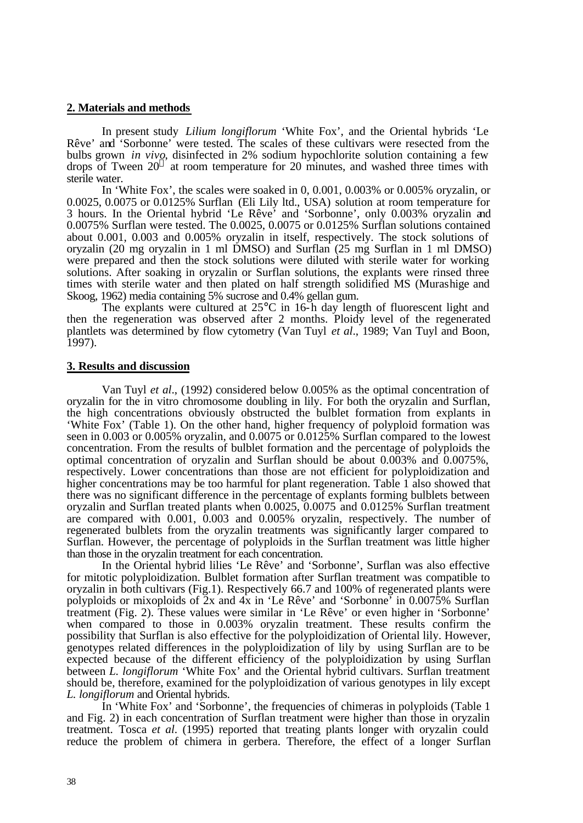# **2. Materials and methods**

In present study *Lilium longiflorum* 'White Fox', and the Oriental hybrids 'Le Rêve' and 'Sorbonne' were tested. The scales of these cultivars were resected from the bulbs grown *in vivo*, disinfected in 2% sodium hypochlorite solution containing a few drops of Tween  $20^{\circ}$  at room temperature for 20 minutes, and washed three times with sterile water.

In 'White Fox', the scales were soaked in 0, 0.001, 0.003% or 0.005% oryzalin, or 0.0025, 0.0075 or 0.0125% Surflan (Eli Lily ltd., USA) solution at room temperature for 3 hours. In the Oriental hybrid 'Le Rêve' and 'Sorbonne', only 0.003% oryzalin and 0.0075% Surflan were tested. The 0.0025, 0.0075 or 0.0125% Surflan solutions contained about 0.001, 0.003 and 0.005% oryzalin in itself, respectively. The stock solutions of oryzalin (20 mg oryzalin in 1 ml DMSO) and Surflan (25 mg Surflan in 1 ml DMSO) were prepared and then the stock solutions were diluted with sterile water for working solutions. After soaking in oryzalin or Surflan solutions, the explants were rinsed three times with sterile water and then plated on half strength solidified MS (Murashige and Skoog, 1962) media containing 5% sucrose and 0.4% gellan gum.

The explants were cultured at 25°C in 16-h day length of fluorescent light and then the regeneration was observed after 2 months. Ploidy level of the regenerated plantlets was determined by flow cytometry (Van Tuyl *et al*., 1989; Van Tuyl and Boon, 1997).

#### **3. Results and discussion**

Van Tuyl *et al*., (1992) considered below 0.005% as the optimal concentration of oryzalin for the in vitro chromosome doubling in lily. For both the oryzalin and Surflan, the high concentrations obviously obstructed the bulblet formation from explants in 'White Fox' (Table 1). On the other hand, higher frequency of polyploid formation was seen in 0.003 or 0.005% oryzalin, and 0.0075 or 0.0125% Surflan compared to the lowest concentration. From the results of bulblet formation and the percentage of polyploids the optimal concentration of oryzalin and Surflan should be about 0.003% and 0.0075%, respectively. Lower concentrations than those are not efficient for polyploidization and higher concentrations may be too harmful for plant regeneration. Table 1 also showed that there was no significant difference in the percentage of explants forming bulblets between oryzalin and Surflan treated plants when 0.0025, 0.0075 and 0.0125% Surflan treatment are compared with  $0.001$ ,  $0.003$  and  $0.005\%$  oryzalin, respectively. The number of regenerated bulblets from the oryzalin treatments was significantly larger compared to Surflan. However, the percentage of polyploids in the Surflan treatment was little higher than those in the oryzalin treatment for each concentration.

In the Oriental hybrid lilies 'Le Rêve' and 'Sorbonne', Surflan was also effective for mitotic polyploidization. Bulblet formation after Surflan treatment was compatible to oryzalin in both cultivars (Fig.1). Respectively 66.7 and 100% of regenerated plants were polyploids or mixoploids of 2x and 4x in 'Le Rêve' and 'Sorbonne' in 0.0075% Surflan treatment (Fig. 2). These values were similar in 'Le Rêve' or even higher in 'Sorbonne' when compared to those in 0.003% oryzalin treatment. These results confirm the possibility that Surflan is also effective for the polyploidization of Oriental lily. However, genotypes related differences in the polyploidization of lily by using Surflan are to be expected because of the different efficiency of the polyploidization by using Surflan between *L. longiflorum* 'White Fox' and the Oriental hybrid cultivars. Surflan treatment should be, therefore, examined for the polyploidization of various genotypes in lily except *L. longiflorum* and Oriental hybrids.

In 'White Fox' and 'Sorbonne', the frequencies of chimeras in polyploids (Table 1) and Fig. 2) in each concentration of Surflan treatment were higher than those in oryzalin treatment. Tosca *et al*. (1995) reported that treating plants longer with oryzalin could reduce the problem of chimera in gerbera. Therefore, the effect of a longer Surflan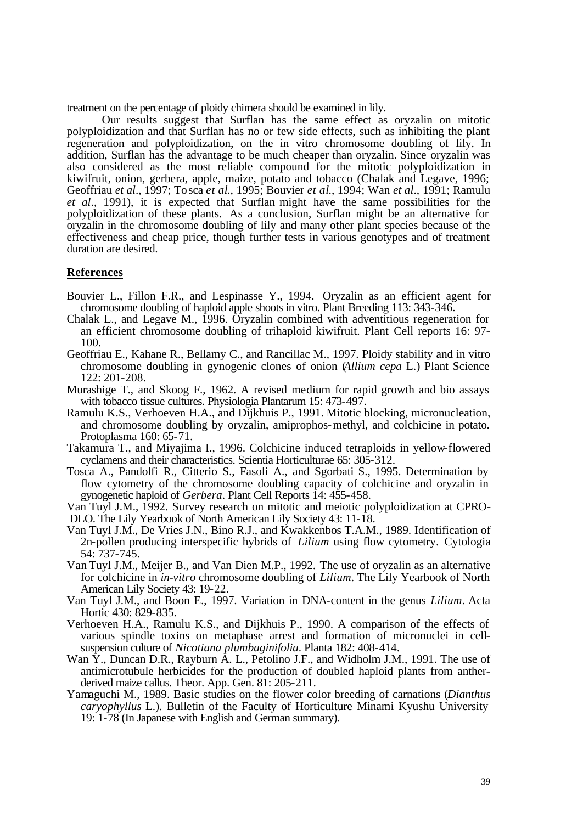treatment on the percentage of ploidy chimera should be examined in lily.

Our results suggest that Surflan has the same effect as oryzalin on mitotic polyploidization and that Surflan has no or few side effects, such as inhibiting the plant regeneration and polyploidization, on the in vitro chromosome doubling of lily. In addition, Surflan has the advantage to be much cheaper than oryzalin. Since oryzalin was also considered as the most reliable compound for the mitotic polyploidization in kiwifruit, onion, gerbera, apple, maize, potato and tobacco (Chalak and Legave, 1996; Geoffriau *et al*., 1997; Tosca *et al*., 1995; Bouvier *et al*., 1994; Wan *et al*., 1991; Ramulu *et al*., 1991), it is expected that Surflan might have the same possibilities for the polyploidization of these plants. As a conclusion, Surflan might be an alternative for oryzalin in the chromosome doubling of lily and many other plant species because of the effectiveness and cheap price, though further tests in various genotypes and of treatment duration are desired.

### **References**

- Bouvier L., Fillon F.R., and Lespinasse Y., 1994. Oryzalin as an efficient agent for chromosome doubling of haploid apple shoots in vitro. Plant Breeding 113: 343-346.
- Chalak L., and Legave M., 1996. Oryzalin combined with adventitious regeneration for an efficient chromosome doubling of trihaploid kiwifruit. Plant Cell reports 16: 97- 100.
- Geoffriau E., Kahane R., Bellamy C., and Rancillac M., 1997. Ploidy stability and in vitro chromosome doubling in gynogenic clones of onion (*Allium cepa* L.) Plant Science 122: 201-208.
- Murashige T., and Skoog F., 1962. A revised medium for rapid growth and bio assays with tobacco tissue cultures. Physiologia Plantarum 15: 473-497.
- Ramulu K.S., Verhoeven H.A., and Dijkhuis P., 1991. Mitotic blocking, micronucleation, and chromosome doubling by oryzalin, amiprophos-methyl, and colchicine in potato. Protoplasma 160: 65-71.
- Takamura T., and Miyajima I., 1996. Colchicine induced tetraploids in yellow-flowered cyclamens and their characteristics. Scientia Horticulturae 65: 305-312.
- Tosca A., Pandolfi R., Citterio S., Fasoli A., and Sgorbati S., 1995. Determination by flow cytometry of the chromosome doubling capacity of colchicine and oryzalin in gynogenetic haploid of *Gerbera*. Plant Cell Reports 14: 455-458.

Van Tuyl J.M., 1992. Survey research on mitotic and meiotic polyploidization at CPRO-DLO. The Lily Yearbook of North American Lily Society 43: 11-18.

- Van Tuyl J.M., De Vries J.N., Bino R.J., and Kwakkenbos T.A.M., 1989. Identification of 2n-pollen producing interspecific hybrids of *Lilium* using flow cytometry. Cytologia 54: 737-745.
- Van Tuyl J.M., Meijer B., and Van Dien M.P., 1992. The use of oryzalin as an alternative for colchicine in *in-vitro* chromosome doubling of *Lilium*. The Lily Yearbook of North American Lily Society 43: 19-22.
- Van Tuyl J.M., and Boon E., 1997. Variation in DNA-content in the genus *Lilium*. Acta Hortic 430: 829-835.
- Verhoeven H.A., Ramulu K.S., and Dijkhuis P., 1990. A comparison of the effects of various spindle toxins on metaphase arrest and formation of micronuclei in cellsuspension culture of *Nicotiana plumbaginifolia*. Planta 182: 408-414.
- Wan Y., Duncan D.R., Rayburn A. L., Petolino J.F., and Widholm J.M., 1991. The use of antimicrotubule herbicides for the production of doubled haploid plants from antherderived maize callus. Theor. App. Gen. 81: 205-211.
- Yamaguchi M., 1989. Basic studies on the flower color breeding of carnations (*Dianthus caryophyllus* L.). Bulletin of the Faculty of Horticulture Minami Kyushu University 19: 1-78 (In Japanese with English and German summary).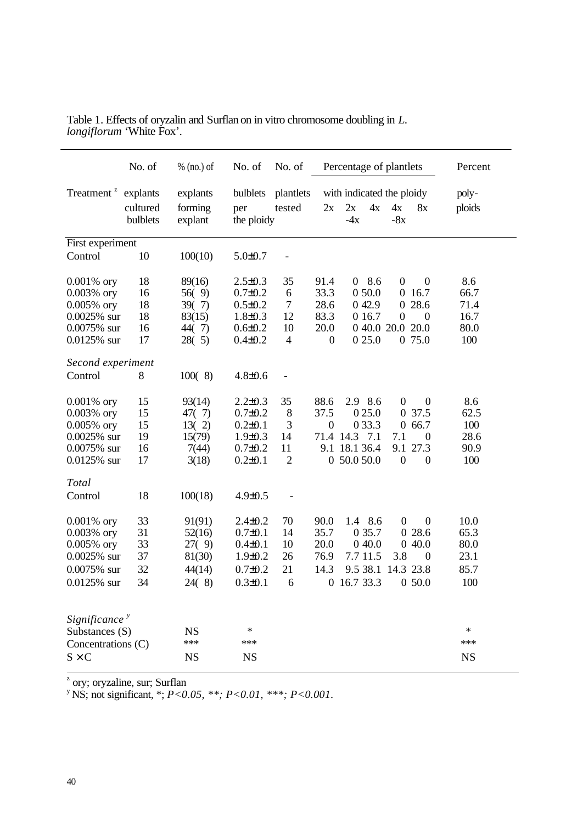| Treatment <sup>z</sup> explants<br>bulblets<br>plantlets<br>with indicated the ploidy<br>explants<br>poly-<br>4x<br>ploids<br>cultured<br>forming<br>2x<br>4x<br>8x<br>tested<br>2x<br>per<br>$-4x$<br>$-8x$<br>bulblets<br>the ploidy<br>explant<br>First experiment<br>Control<br>10<br>100(10)<br>$5.0 \pm 0.7$<br>$\qquad \qquad \blacksquare$<br>18<br>$2.5 \pm 0.3$<br>35<br>08.6<br>8.6<br>$0.001\%$ ory<br>89(16)<br>91.4<br>$\mathbf{0}$<br>$\boldsymbol{0}$<br>0 50.0<br>66.7<br>0.003% ory<br>16<br>$0.7 \pm 0.2$<br>33.3<br>16.7<br>56(9)<br>6<br>$\overline{0}$<br>18<br>0 28.6<br>$0.005\%$ ory<br>39(7)<br>$0.5 \pm 0.2$<br>7<br>28.6<br>0 4 2.9<br>71.4<br>18<br>83.3<br>$0.0025%$ sur<br>$1.8 \pm 0.3$<br>12<br>0 1 6.7<br>16.7<br>83(15)<br>$\mathbf{0}$<br>$\mathbf{0}$<br>20.0<br>0 40.0 20.0 20.0<br>80.0<br>0.0075% sur<br>16<br>$0.6 \pm 0.2$<br>10<br>44(7)<br>17<br>0 25.0<br>0 75.0<br>100<br>$0.0125%$ sur<br>28(5)<br>$0.4 \pm 0.2$<br>$\overline{4}$<br>$\boldsymbol{0}$<br>Second experiment<br>Control<br>8<br>100(8)<br>$4.8 \pm 0.6$<br>$\overline{\phantom{0}}$<br>8.6<br>15<br>93(14)<br>$2.2 \pm 0.3$<br>35<br>88.6<br>2.9 8.6<br>$0.001\%$ ory<br>$\mathbf{0}$<br>$\overline{0}$<br>15<br>37.5<br>0 25.0<br>0 37.5<br>62.5<br>$0.003\%$ ory<br>$0.7 \pm 0.2$<br>8<br>47(7)<br>15<br>3<br>0 3 3.3<br>066.7<br>100<br>$0.005\%$ ory<br>13(2)<br>$0.2 \pm 0.1$<br>$\boldsymbol{0}$<br>19<br>28.6<br>$0.0025%$ sur<br>15(79)<br>$1.9 \pm 0.3$<br>14<br>71.4 14.3<br>7.1<br>7.1<br>$\boldsymbol{0}$<br>16<br>9.1 18.1 36.4<br>9.1<br>27.3<br>90.9<br>0.0075% sur<br>7(44)<br>$0.7 \pm 0.2$<br>11<br>$\boldsymbol{0}$<br>100<br>$0.0125%$ sur<br>17<br>3(18)<br>$0.2 \pm 0.1$<br>$\overline{2}$<br>0, 50.0, 50.0<br>$\theta$<br>Total<br>18<br>100(18)<br>Control<br>$4.9 \pm 0.5$<br>1.4 8.6<br>33<br>$2.4 \pm 0.2$<br>70<br>90.0<br>$\theta$<br>$\boldsymbol{0}$<br>10.0<br>$0.001\%$ ory<br>91(91)<br>31<br>35.7<br>0 28.6<br>65.3<br>$0.003\%$ ory<br>$0.7 \pm 0.1$<br>14<br>0 35.7<br>52(16)<br>33<br>$0.005\%$ ory<br>10<br>20.0<br>040.0<br>040.0<br>80.0<br>27(9)<br>$0.4 \pm 0.1$<br>$0.0025%$ sur<br>37<br>26<br>76.9<br>7.7 11.5<br>3.8<br>23.1<br>81(30)<br>$1.9 \pm 0.2$<br>$\boldsymbol{0}$<br>21<br>85.7<br>0.0075% sur<br>32<br>$0.7 \pm 0.2$<br>14.3<br>9.5 38.1<br>14.3 23.8<br>44(14)<br>0 16.7 33.3<br>0.0125% sur<br>34<br>24(8)<br>$0.3 \pm 0.1$<br>6<br>100<br>050.0<br>Significance $\overline{y}$<br>$\ast$<br>$\ast$<br>Substances (S)<br><b>NS</b><br>***<br>***<br>***<br>Concentrations (C)<br>$S \times C$<br><b>NS</b><br><b>NS</b><br><b>NS</b> |  | No. of | $%$ (no.) of | No. of | No. of |  | Percentage of plantlets |  |  | Percent |
|----------------------------------------------------------------------------------------------------------------------------------------------------------------------------------------------------------------------------------------------------------------------------------------------------------------------------------------------------------------------------------------------------------------------------------------------------------------------------------------------------------------------------------------------------------------------------------------------------------------------------------------------------------------------------------------------------------------------------------------------------------------------------------------------------------------------------------------------------------------------------------------------------------------------------------------------------------------------------------------------------------------------------------------------------------------------------------------------------------------------------------------------------------------------------------------------------------------------------------------------------------------------------------------------------------------------------------------------------------------------------------------------------------------------------------------------------------------------------------------------------------------------------------------------------------------------------------------------------------------------------------------------------------------------------------------------------------------------------------------------------------------------------------------------------------------------------------------------------------------------------------------------------------------------------------------------------------------------------------------------------------------------------------------------------------------------------------------------------------------------------------------------------------------------------------------------------------------------------------------------------------------------------------------------------------------------------------------------------------------------------------------------------------------------------------------------------------------------------------------------------------------------------------------------------------------------------------------------------------------|--|--------|--------------|--------|--------|--|-------------------------|--|--|---------|
|                                                                                                                                                                                                                                                                                                                                                                                                                                                                                                                                                                                                                                                                                                                                                                                                                                                                                                                                                                                                                                                                                                                                                                                                                                                                                                                                                                                                                                                                                                                                                                                                                                                                                                                                                                                                                                                                                                                                                                                                                                                                                                                                                                                                                                                                                                                                                                                                                                                                                                                                                                                                                |  |        |              |        |        |  |                         |  |  |         |
|                                                                                                                                                                                                                                                                                                                                                                                                                                                                                                                                                                                                                                                                                                                                                                                                                                                                                                                                                                                                                                                                                                                                                                                                                                                                                                                                                                                                                                                                                                                                                                                                                                                                                                                                                                                                                                                                                                                                                                                                                                                                                                                                                                                                                                                                                                                                                                                                                                                                                                                                                                                                                |  |        |              |        |        |  |                         |  |  |         |
|                                                                                                                                                                                                                                                                                                                                                                                                                                                                                                                                                                                                                                                                                                                                                                                                                                                                                                                                                                                                                                                                                                                                                                                                                                                                                                                                                                                                                                                                                                                                                                                                                                                                                                                                                                                                                                                                                                                                                                                                                                                                                                                                                                                                                                                                                                                                                                                                                                                                                                                                                                                                                |  |        |              |        |        |  |                         |  |  |         |
|                                                                                                                                                                                                                                                                                                                                                                                                                                                                                                                                                                                                                                                                                                                                                                                                                                                                                                                                                                                                                                                                                                                                                                                                                                                                                                                                                                                                                                                                                                                                                                                                                                                                                                                                                                                                                                                                                                                                                                                                                                                                                                                                                                                                                                                                                                                                                                                                                                                                                                                                                                                                                |  |        |              |        |        |  |                         |  |  |         |
|                                                                                                                                                                                                                                                                                                                                                                                                                                                                                                                                                                                                                                                                                                                                                                                                                                                                                                                                                                                                                                                                                                                                                                                                                                                                                                                                                                                                                                                                                                                                                                                                                                                                                                                                                                                                                                                                                                                                                                                                                                                                                                                                                                                                                                                                                                                                                                                                                                                                                                                                                                                                                |  |        |              |        |        |  |                         |  |  |         |
|                                                                                                                                                                                                                                                                                                                                                                                                                                                                                                                                                                                                                                                                                                                                                                                                                                                                                                                                                                                                                                                                                                                                                                                                                                                                                                                                                                                                                                                                                                                                                                                                                                                                                                                                                                                                                                                                                                                                                                                                                                                                                                                                                                                                                                                                                                                                                                                                                                                                                                                                                                                                                |  |        |              |        |        |  |                         |  |  |         |
|                                                                                                                                                                                                                                                                                                                                                                                                                                                                                                                                                                                                                                                                                                                                                                                                                                                                                                                                                                                                                                                                                                                                                                                                                                                                                                                                                                                                                                                                                                                                                                                                                                                                                                                                                                                                                                                                                                                                                                                                                                                                                                                                                                                                                                                                                                                                                                                                                                                                                                                                                                                                                |  |        |              |        |        |  |                         |  |  |         |
|                                                                                                                                                                                                                                                                                                                                                                                                                                                                                                                                                                                                                                                                                                                                                                                                                                                                                                                                                                                                                                                                                                                                                                                                                                                                                                                                                                                                                                                                                                                                                                                                                                                                                                                                                                                                                                                                                                                                                                                                                                                                                                                                                                                                                                                                                                                                                                                                                                                                                                                                                                                                                |  |        |              |        |        |  |                         |  |  |         |
|                                                                                                                                                                                                                                                                                                                                                                                                                                                                                                                                                                                                                                                                                                                                                                                                                                                                                                                                                                                                                                                                                                                                                                                                                                                                                                                                                                                                                                                                                                                                                                                                                                                                                                                                                                                                                                                                                                                                                                                                                                                                                                                                                                                                                                                                                                                                                                                                                                                                                                                                                                                                                |  |        |              |        |        |  |                         |  |  |         |
|                                                                                                                                                                                                                                                                                                                                                                                                                                                                                                                                                                                                                                                                                                                                                                                                                                                                                                                                                                                                                                                                                                                                                                                                                                                                                                                                                                                                                                                                                                                                                                                                                                                                                                                                                                                                                                                                                                                                                                                                                                                                                                                                                                                                                                                                                                                                                                                                                                                                                                                                                                                                                |  |        |              |        |        |  |                         |  |  |         |
|                                                                                                                                                                                                                                                                                                                                                                                                                                                                                                                                                                                                                                                                                                                                                                                                                                                                                                                                                                                                                                                                                                                                                                                                                                                                                                                                                                                                                                                                                                                                                                                                                                                                                                                                                                                                                                                                                                                                                                                                                                                                                                                                                                                                                                                                                                                                                                                                                                                                                                                                                                                                                |  |        |              |        |        |  |                         |  |  |         |
|                                                                                                                                                                                                                                                                                                                                                                                                                                                                                                                                                                                                                                                                                                                                                                                                                                                                                                                                                                                                                                                                                                                                                                                                                                                                                                                                                                                                                                                                                                                                                                                                                                                                                                                                                                                                                                                                                                                                                                                                                                                                                                                                                                                                                                                                                                                                                                                                                                                                                                                                                                                                                |  |        |              |        |        |  |                         |  |  |         |
|                                                                                                                                                                                                                                                                                                                                                                                                                                                                                                                                                                                                                                                                                                                                                                                                                                                                                                                                                                                                                                                                                                                                                                                                                                                                                                                                                                                                                                                                                                                                                                                                                                                                                                                                                                                                                                                                                                                                                                                                                                                                                                                                                                                                                                                                                                                                                                                                                                                                                                                                                                                                                |  |        |              |        |        |  |                         |  |  |         |
|                                                                                                                                                                                                                                                                                                                                                                                                                                                                                                                                                                                                                                                                                                                                                                                                                                                                                                                                                                                                                                                                                                                                                                                                                                                                                                                                                                                                                                                                                                                                                                                                                                                                                                                                                                                                                                                                                                                                                                                                                                                                                                                                                                                                                                                                                                                                                                                                                                                                                                                                                                                                                |  |        |              |        |        |  |                         |  |  |         |
|                                                                                                                                                                                                                                                                                                                                                                                                                                                                                                                                                                                                                                                                                                                                                                                                                                                                                                                                                                                                                                                                                                                                                                                                                                                                                                                                                                                                                                                                                                                                                                                                                                                                                                                                                                                                                                                                                                                                                                                                                                                                                                                                                                                                                                                                                                                                                                                                                                                                                                                                                                                                                |  |        |              |        |        |  |                         |  |  |         |
|                                                                                                                                                                                                                                                                                                                                                                                                                                                                                                                                                                                                                                                                                                                                                                                                                                                                                                                                                                                                                                                                                                                                                                                                                                                                                                                                                                                                                                                                                                                                                                                                                                                                                                                                                                                                                                                                                                                                                                                                                                                                                                                                                                                                                                                                                                                                                                                                                                                                                                                                                                                                                |  |        |              |        |        |  |                         |  |  |         |
|                                                                                                                                                                                                                                                                                                                                                                                                                                                                                                                                                                                                                                                                                                                                                                                                                                                                                                                                                                                                                                                                                                                                                                                                                                                                                                                                                                                                                                                                                                                                                                                                                                                                                                                                                                                                                                                                                                                                                                                                                                                                                                                                                                                                                                                                                                                                                                                                                                                                                                                                                                                                                |  |        |              |        |        |  |                         |  |  |         |
|                                                                                                                                                                                                                                                                                                                                                                                                                                                                                                                                                                                                                                                                                                                                                                                                                                                                                                                                                                                                                                                                                                                                                                                                                                                                                                                                                                                                                                                                                                                                                                                                                                                                                                                                                                                                                                                                                                                                                                                                                                                                                                                                                                                                                                                                                                                                                                                                                                                                                                                                                                                                                |  |        |              |        |        |  |                         |  |  |         |
|                                                                                                                                                                                                                                                                                                                                                                                                                                                                                                                                                                                                                                                                                                                                                                                                                                                                                                                                                                                                                                                                                                                                                                                                                                                                                                                                                                                                                                                                                                                                                                                                                                                                                                                                                                                                                                                                                                                                                                                                                                                                                                                                                                                                                                                                                                                                                                                                                                                                                                                                                                                                                |  |        |              |        |        |  |                         |  |  |         |
|                                                                                                                                                                                                                                                                                                                                                                                                                                                                                                                                                                                                                                                                                                                                                                                                                                                                                                                                                                                                                                                                                                                                                                                                                                                                                                                                                                                                                                                                                                                                                                                                                                                                                                                                                                                                                                                                                                                                                                                                                                                                                                                                                                                                                                                                                                                                                                                                                                                                                                                                                                                                                |  |        |              |        |        |  |                         |  |  |         |
|                                                                                                                                                                                                                                                                                                                                                                                                                                                                                                                                                                                                                                                                                                                                                                                                                                                                                                                                                                                                                                                                                                                                                                                                                                                                                                                                                                                                                                                                                                                                                                                                                                                                                                                                                                                                                                                                                                                                                                                                                                                                                                                                                                                                                                                                                                                                                                                                                                                                                                                                                                                                                |  |        |              |        |        |  |                         |  |  |         |
|                                                                                                                                                                                                                                                                                                                                                                                                                                                                                                                                                                                                                                                                                                                                                                                                                                                                                                                                                                                                                                                                                                                                                                                                                                                                                                                                                                                                                                                                                                                                                                                                                                                                                                                                                                                                                                                                                                                                                                                                                                                                                                                                                                                                                                                                                                                                                                                                                                                                                                                                                                                                                |  |        |              |        |        |  |                         |  |  |         |
|                                                                                                                                                                                                                                                                                                                                                                                                                                                                                                                                                                                                                                                                                                                                                                                                                                                                                                                                                                                                                                                                                                                                                                                                                                                                                                                                                                                                                                                                                                                                                                                                                                                                                                                                                                                                                                                                                                                                                                                                                                                                                                                                                                                                                                                                                                                                                                                                                                                                                                                                                                                                                |  |        |              |        |        |  |                         |  |  |         |
|                                                                                                                                                                                                                                                                                                                                                                                                                                                                                                                                                                                                                                                                                                                                                                                                                                                                                                                                                                                                                                                                                                                                                                                                                                                                                                                                                                                                                                                                                                                                                                                                                                                                                                                                                                                                                                                                                                                                                                                                                                                                                                                                                                                                                                                                                                                                                                                                                                                                                                                                                                                                                |  |        |              |        |        |  |                         |  |  |         |
|                                                                                                                                                                                                                                                                                                                                                                                                                                                                                                                                                                                                                                                                                                                                                                                                                                                                                                                                                                                                                                                                                                                                                                                                                                                                                                                                                                                                                                                                                                                                                                                                                                                                                                                                                                                                                                                                                                                                                                                                                                                                                                                                                                                                                                                                                                                                                                                                                                                                                                                                                                                                                |  |        |              |        |        |  |                         |  |  |         |
|                                                                                                                                                                                                                                                                                                                                                                                                                                                                                                                                                                                                                                                                                                                                                                                                                                                                                                                                                                                                                                                                                                                                                                                                                                                                                                                                                                                                                                                                                                                                                                                                                                                                                                                                                                                                                                                                                                                                                                                                                                                                                                                                                                                                                                                                                                                                                                                                                                                                                                                                                                                                                |  |        |              |        |        |  |                         |  |  |         |
|                                                                                                                                                                                                                                                                                                                                                                                                                                                                                                                                                                                                                                                                                                                                                                                                                                                                                                                                                                                                                                                                                                                                                                                                                                                                                                                                                                                                                                                                                                                                                                                                                                                                                                                                                                                                                                                                                                                                                                                                                                                                                                                                                                                                                                                                                                                                                                                                                                                                                                                                                                                                                |  |        |              |        |        |  |                         |  |  |         |
|                                                                                                                                                                                                                                                                                                                                                                                                                                                                                                                                                                                                                                                                                                                                                                                                                                                                                                                                                                                                                                                                                                                                                                                                                                                                                                                                                                                                                                                                                                                                                                                                                                                                                                                                                                                                                                                                                                                                                                                                                                                                                                                                                                                                                                                                                                                                                                                                                                                                                                                                                                                                                |  |        |              |        |        |  |                         |  |  |         |
|                                                                                                                                                                                                                                                                                                                                                                                                                                                                                                                                                                                                                                                                                                                                                                                                                                                                                                                                                                                                                                                                                                                                                                                                                                                                                                                                                                                                                                                                                                                                                                                                                                                                                                                                                                                                                                                                                                                                                                                                                                                                                                                                                                                                                                                                                                                                                                                                                                                                                                                                                                                                                |  |        |              |        |        |  |                         |  |  |         |
|                                                                                                                                                                                                                                                                                                                                                                                                                                                                                                                                                                                                                                                                                                                                                                                                                                                                                                                                                                                                                                                                                                                                                                                                                                                                                                                                                                                                                                                                                                                                                                                                                                                                                                                                                                                                                                                                                                                                                                                                                                                                                                                                                                                                                                                                                                                                                                                                                                                                                                                                                                                                                |  |        |              |        |        |  |                         |  |  |         |
|                                                                                                                                                                                                                                                                                                                                                                                                                                                                                                                                                                                                                                                                                                                                                                                                                                                                                                                                                                                                                                                                                                                                                                                                                                                                                                                                                                                                                                                                                                                                                                                                                                                                                                                                                                                                                                                                                                                                                                                                                                                                                                                                                                                                                                                                                                                                                                                                                                                                                                                                                                                                                |  |        |              |        |        |  |                         |  |  |         |

Table 1. Effects of oryzalin and Surflan on in vitro chromosome doubling in *L. longiflorum* 'White Fox'.

<sup>z</sup> ory; oryzaline, sur; Surflan

<sup>y</sup>NS; not significant, \*; *P<0.05, \*\*; P<0.01, \*\*\*; P<0.001.*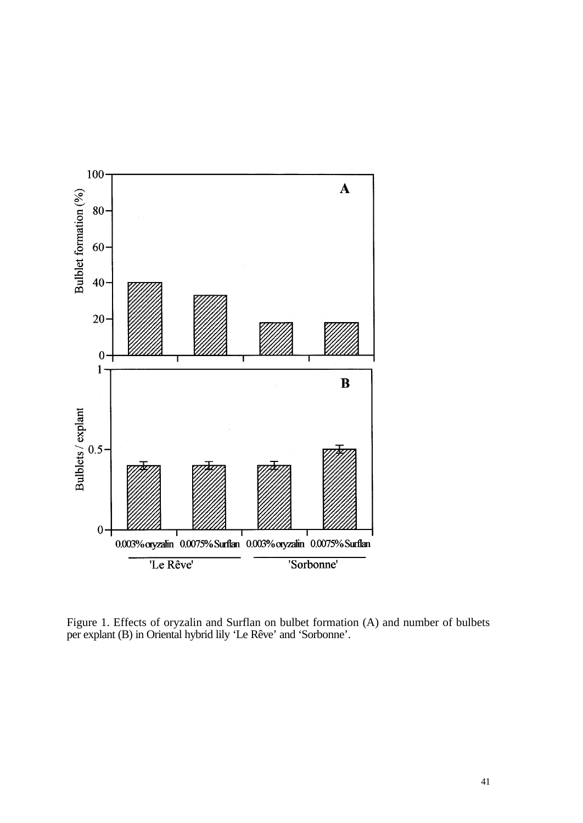

Figure 1. Effects of oryzalin and Surflan on bulbet formation (A) and number of bulbets per explant (B) in Oriental hybrid lily 'Le Rêve' and 'Sorbonne'.